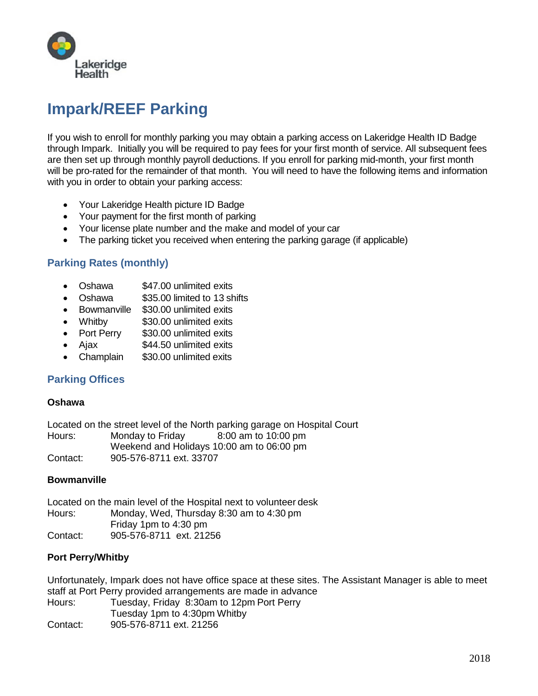

# **Impark/REEF Parking**

If you wish to enroll for monthly parking you may obtain a parking access on Lakeridge Health ID Badge through Impark. Initially you will be required to pay fees for your first month of service. All subsequent fees are then set up through monthly payroll deductions. If you enroll for parking mid-month, your first month will be pro-rated for the remainder of that month. You will need to have the following items and information with you in order to obtain your parking access:

- Your Lakeridge Health picture ID Badge
- Your payment for the first month of parking
- Your license plate number and the make and model of your car
- The parking ticket you received when entering the parking garage (if applicable)

## **Parking Rates (monthly)**

- Oshawa \$47,00 unlimited exits
- Oshawa \$35.00 limited to 13 shifts
- Bowmanville \$30.00 unlimited exits
- Whitby \$30.00 unlimited exits
- Port Perry \$30.00 unlimited exits
- Ajax **\$44.50 unlimited exits**
- Champlain \$30.00 unlimited exits

## **Parking Offices**

#### **Oshawa**

Located on the street level of the North parking garage on Hospital Court Hours: Monday to Friday 8:00 am to 10:00 pm Weekend and Holidays 10:00 am to 06:00 pm Contact: 905-576-8711 ext. 33707

#### **Bowmanville**

Located on the main level of the Hospital next to volunteer desk Hours: Monday, Wed, Thursday 8:30 am to 4:30 pm Friday 1pm to 4:30 pm Contact: 905-576-8711 ext. 21256

## **Port Perry/Whitby**

Unfortunately, Impark does not have office space at these sites. The Assistant Manager is able to meet staff at Port Perry provided arrangements are made in advance Hours: Tuesday, Friday 8:30am to 12pm Port Perry Tuesday 1pm to 4:30pm Whitby Contact: 905-576-8711 ext. 21256